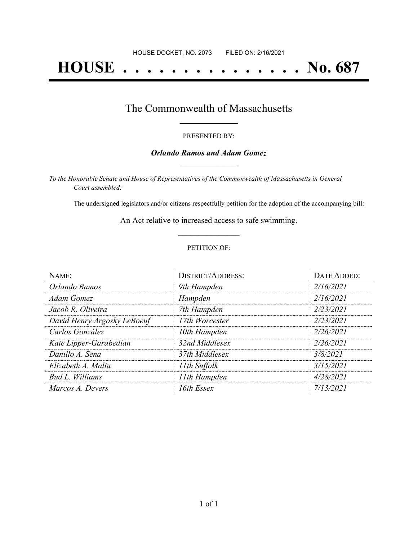# **HOUSE . . . . . . . . . . . . . . . No. 687**

## The Commonwealth of Massachusetts **\_\_\_\_\_\_\_\_\_\_\_\_\_\_\_\_\_**

#### PRESENTED BY:

#### *Orlando Ramos and Adam Gomez* **\_\_\_\_\_\_\_\_\_\_\_\_\_\_\_\_\_**

*To the Honorable Senate and House of Representatives of the Commonwealth of Massachusetts in General Court assembled:*

The undersigned legislators and/or citizens respectfully petition for the adoption of the accompanying bill:

An Act relative to increased access to safe swimming. **\_\_\_\_\_\_\_\_\_\_\_\_\_\_\_**

#### PETITION OF:

| NAME:                       | <b>DISTRICT/ADDRESS:</b> | DATE ADDED: |
|-----------------------------|--------------------------|-------------|
| Orlando Ramos               | 9th Hampden              | 2/16/2021   |
| Adam Gomez                  | Hampden                  | 2/16/2021   |
| Jacob R. Oliveira           | 7th Hampden              | 2/23/2021   |
| David Henry Argosky LeBoeuf | 17th Worcester           | 2/23/2021   |
| Carlos González             | 10th Hampden             | 2/26/2021   |
| Kate Lipper-Garabedian      | 32nd Middlesex           | 2/26/2021   |
| Danillo A. Sena             | 37th Middlesex           | 3/8/2021    |
| Elizabeth A. Malia          | 11th Suffolk             | 3/15/2021   |
| Bud L. Williams             | 11th Hampden             | 4/28/2021   |
| Marcos A. Devers            | 16th Essex               | 7/13/2021   |